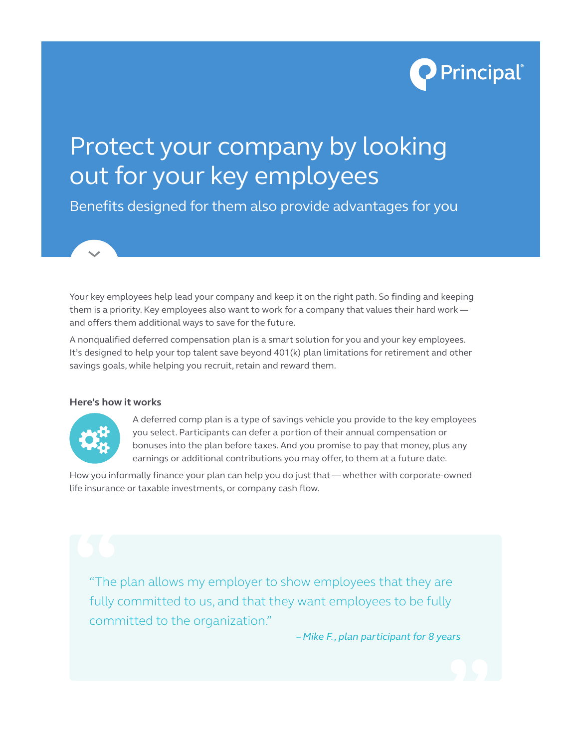

# Protect your company by looking out for your key employees

Benefits designed for them also provide advantages for you

Your key employees help lead your company and keep it on the right path. So finding and keeping them is a priority. Key employees also want to work for a company that values their hard work and offers them additional ways to save for the future.

A nonqualified deferred compensation plan is a smart solution for you and your key employees. It's designed to help your top talent save beyond 401(k) plan limitations for retirement and other savings goals, while helping you recruit, retain and reward them.

### **Here's how it works**



A deferred comp plan is a type of savings vehicle you provide to the key employees you select. Participants can defer a portion of their annual compensation or bonuses into the plan before taxes. And you promise to pay that money, plus any earnings or additional contributions you may offer, to them at a future date.

How you informally finance your plan can help you do just that — whether with corporate-owned life insurance or taxable investments, or company cash flow.

"The plan allows my employer to show employees that they are fully committed to us, and that they want employees to be fully committed to the organization." **1** 

*– Mike F., plan participant for 8 years*